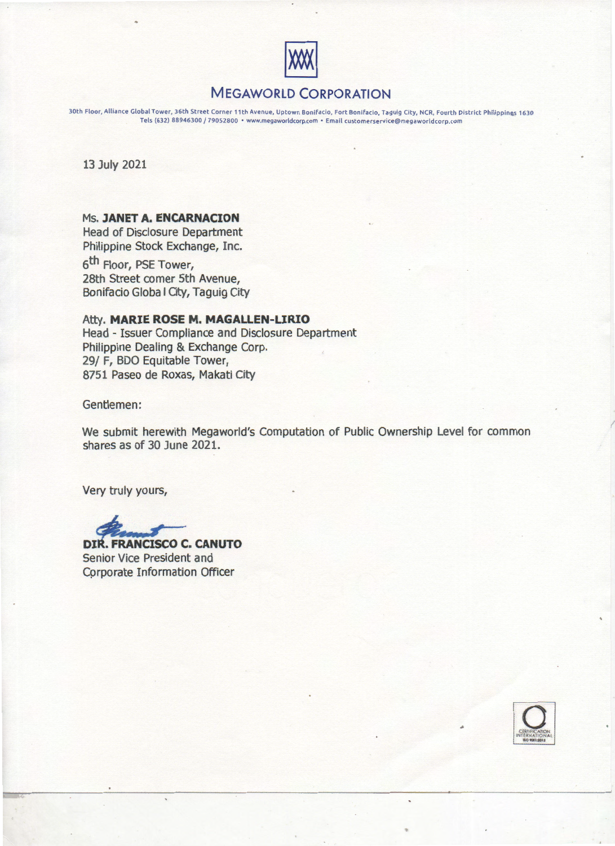

# MEGAWORLD CORPORATION

30th Floor, Alliance Global Tower, 36th Street Corner 11th Avenue, Uptown Bonifacio, Fort Bonifacio, Taguig City, NCR, Fourth District Philippines 1630 Tels (632) 88946300 / 79052800 • www.megaworldcorp.com • Email customerservice@megaworldcorp.com

13 July 2021

## Ms. JANET A. ENCARNACION

Head of Disclosure Department Philippine Stock Exchange, Inc.

6<sup>th</sup> Floor, PSE Tower, 28th Street comer 5th Avenue, Bonifacio Globa I City, Taguig City

Atty. MARIE ROSE M. MAGALLEN-LIRIO Head - Issuer Compliance and Disclosure Department Philippine Dealing & Exchange Corp. 29/ F, BDO Equitable Tower, 8751 Paseo de Roxas, Makati City

Gentlemen:

We submit herewith Megaworld's Computation of Public Ownership Level for common shares as of 30 June 2021.

Very truly yours,

DIR. FRANCISCO C. CANUTO

Senior Vice President and Corporate Information Officer



I

•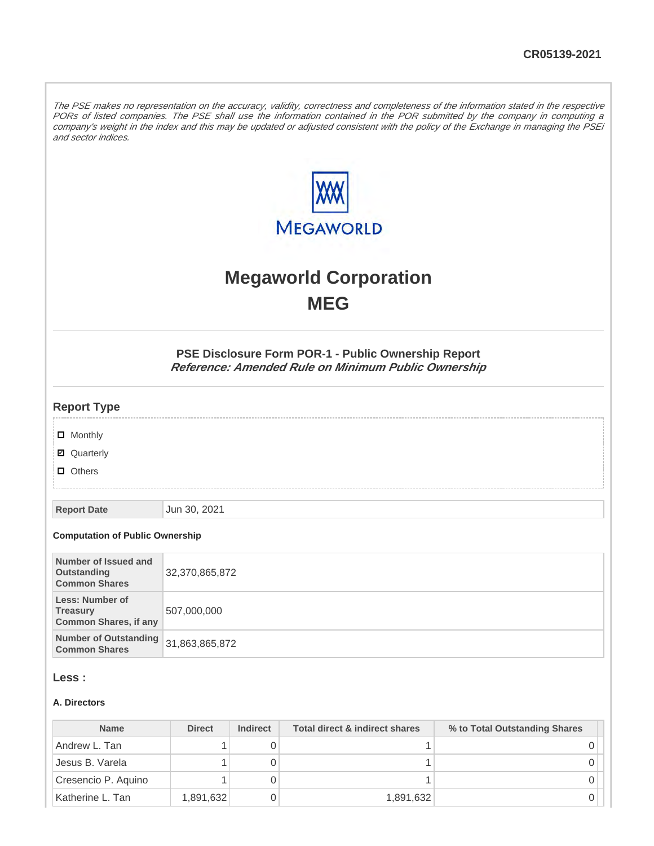The PSE makes no representation on the accuracy, validity, correctness and completeness of the information stated in the respective PORs of listed companies. The PSE shall use the information contained in the POR submitted by the company in computing a company's weight in the index and this may be updated or adjusted consistent with the policy of the Exchange in managing the PSEi and sector indices.



# **Megaworld Corporation MEG**

**PSE Disclosure Form POR-1 - Public Ownership Report Reference: Amended Rule on Minimum Public Ownership**

#### **Report Type**

**D** Monthly

**Ø** Quarterly

**D** Others

**Report Date** Jun 30, 2021

#### **Computation of Public Ownership**

| Number of Issued and<br>Outstanding<br><b>Common Shares</b>        | 32,370,865,872 |
|--------------------------------------------------------------------|----------------|
| Less: Number of<br><b>Treasury</b><br><b>Common Shares, if any</b> | 507,000,000    |
| Number of Outstanding 31,863,865,872<br><b>Common Shares</b>       |                |

#### **Less :**

#### **A. Directors**

| <b>Name</b>         | <b>Direct</b> | <b>Indirect</b> | Total direct & indirect shares | % to Total Outstanding Shares |
|---------------------|---------------|-----------------|--------------------------------|-------------------------------|
| Andrew L. Tan       |               |                 |                                |                               |
| Jesus B. Varela     |               |                 |                                |                               |
| Cresencio P. Aquino |               |                 |                                |                               |
| Katherine L. Tan    | 1,891,632     |                 | 1,891,632                      |                               |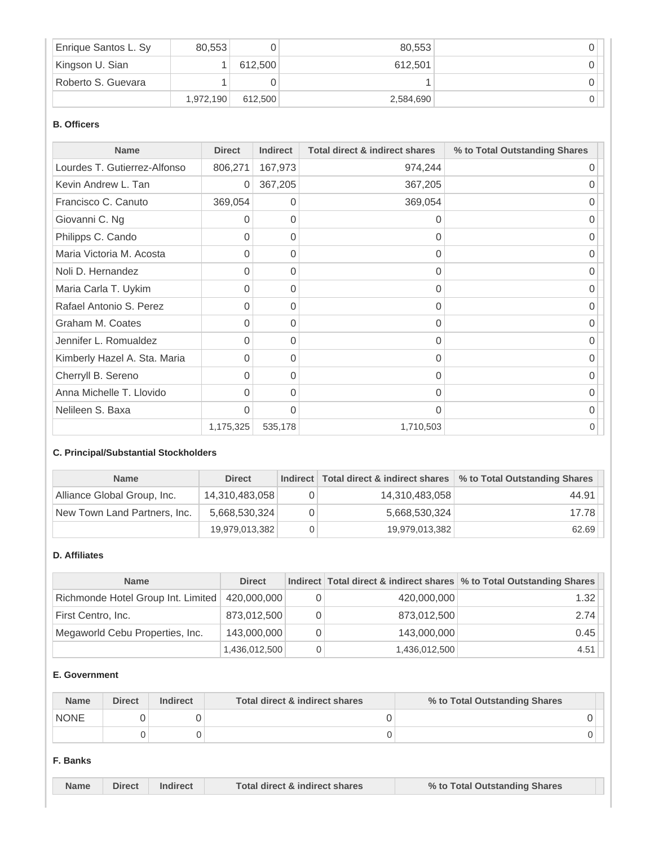| Enrique Santos L. Sy | 80.553    |         | 80,553    |  |
|----------------------|-----------|---------|-----------|--|
| Kingson U. Sian      |           | 612.500 | 612.501   |  |
| Roberto S. Guevara   |           |         |           |  |
|                      | 1,972,190 | 612.500 | 2,584,690 |  |

#### **B. Officers**

| <b>Name</b>                  | <b>Direct</b> | <b>Indirect</b> | <b>Total direct &amp; indirect shares</b> | % to Total Outstanding Shares |
|------------------------------|---------------|-----------------|-------------------------------------------|-------------------------------|
| Lourdes T. Gutierrez-Alfonso | 806,271       | 167,973         | 974,244                                   | 0                             |
| Kevin Andrew L. Tan          | 0             | 367,205         | 367,205                                   |                               |
| Francisco C. Canuto          | 369,054       | 0               | 369,054                                   | 0                             |
| Giovanni C. Ng               | 0             | 0               | $\Omega$                                  | 0                             |
| Philipps C. Cando            | 0             | 0               | 0                                         | 0                             |
| Maria Victoria M. Acosta     | 0             | 0               | 0                                         | 0                             |
| Noli D. Hernandez            | 0             | $\Omega$        | $\Omega$                                  | 0                             |
| Maria Carla T. Uykim         | 0             | 0               | 0                                         | 0                             |
| Rafael Antonio S. Perez      | 0             | 0               | $\Omega$                                  | 0                             |
| Graham M. Coates             | $\Omega$      | 0               | 0                                         | 0                             |
| Jennifer L. Romualdez        | $\Omega$      | 0               | $\Omega$                                  | 0                             |
| Kimberly Hazel A. Sta. Maria | 0             | $\Omega$        | $\Omega$                                  | O                             |
| Cherryll B. Sereno           | 0             | 0               | $\Omega$                                  | 0                             |
| Anna Michelle T. Llovido     | 0             | 0               | $\mathbf 0$                               | 0                             |
| Nelileen S. Baxa             | $\Omega$      | $\Omega$        | $\Omega$                                  | 0                             |
|                              | 1,175,325     | 535,178         | 1,710,503                                 | 0                             |

### **C. Principal/Substantial Stockholders**

| <b>Name</b>                  | <b>Direct</b>  | Indirect   Total direct & indirect shares | % to Total Outstanding Shares |
|------------------------------|----------------|-------------------------------------------|-------------------------------|
| Alliance Global Group, Inc.  | 14,310,483,058 | 14,310,483,058                            | 44.91                         |
| New Town Land Partners, Inc. | 5,668,530,324  | 5,668,530,324                             | 17.78                         |
|                              | 19,979,013,382 | 19,979,013,382                            | 62.69                         |

#### **D. Affiliates**

| <b>Name</b>                        | <b>Direct</b> |   |               | Indirect Total direct & indirect shares \% to Total Outstanding Shares |
|------------------------------------|---------------|---|---------------|------------------------------------------------------------------------|
| Richmonde Hotel Group Int. Limited | 420,000,000   | 0 | 420,000,000   | 1.32                                                                   |
| First Centro, Inc.                 | 873,012,500   | 0 | 873,012,500   | 2.74                                                                   |
| Megaworld Cebu Properties, Inc.    | 143,000,000   | 0 | 143,000,000   | 0.45                                                                   |
|                                    | 1,436,012,500 | 0 | 1,436,012,500 | 4.51                                                                   |

#### **E. Government**

| <b>Name</b> | <b>Direct</b> | <b>Indirect</b> | Total direct & indirect shares | % to Total Outstanding Shares |
|-------------|---------------|-----------------|--------------------------------|-------------------------------|
| <b>NONE</b> |               |                 |                                |                               |
|             |               |                 |                                |                               |

#### **F. Banks**

| <b>Direct</b><br>Total direct & indirect shares<br><b>Name</b><br>% to Total Outstanding Shares |  |
|-------------------------------------------------------------------------------------------------|--|
|-------------------------------------------------------------------------------------------------|--|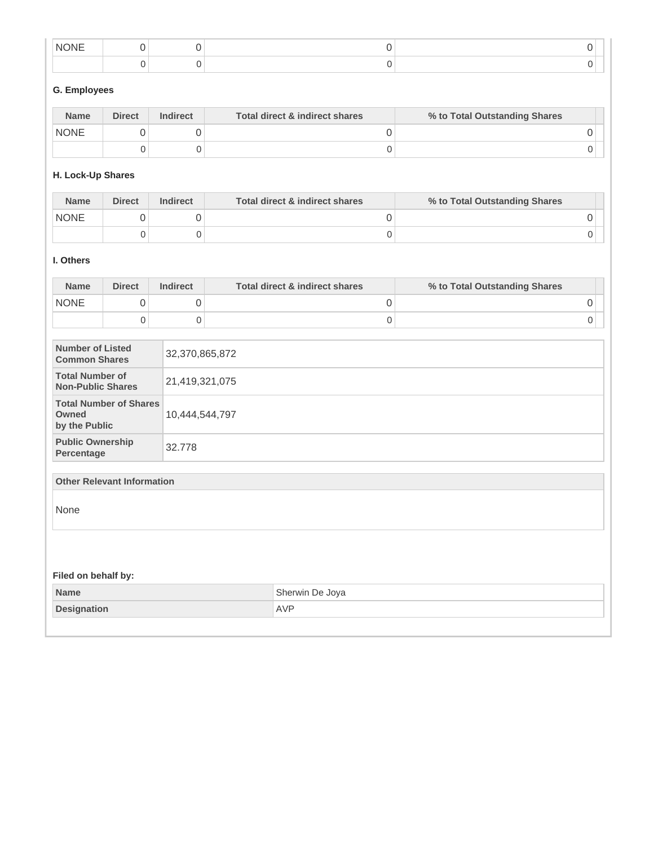| NK<br><b>INI</b> |  |  |
|------------------|--|--|
|                  |  |  |

# **G. Employees**

| <b>Name</b> | <b>Direct</b> | <b>Indirect</b> | Total direct & indirect shares | % to Total Outstanding Shares |  |
|-------------|---------------|-----------------|--------------------------------|-------------------------------|--|
| <b>NONE</b> |               |                 |                                |                               |  |
|             |               |                 |                                |                               |  |

# **H. Lock-Up Shares**

| <b>Name</b> | <b>Direct</b> | <b>Indirect</b> | Total direct & indirect shares | % to Total Outstanding Shares |
|-------------|---------------|-----------------|--------------------------------|-------------------------------|
| <b>NONE</b> |               |                 |                                |                               |
|             |               |                 |                                |                               |

#### **I. Others**

| <b>Name</b> | <b>Direct</b> | <b>Indirect</b> | Total direct & indirect shares | % to Total Outstanding Shares |  |
|-------------|---------------|-----------------|--------------------------------|-------------------------------|--|
| <b>NONE</b> |               |                 |                                |                               |  |
|             |               |                 |                                |                               |  |

| Number of Listed<br><b>Common Shares</b>                | 32,370,865,872 |
|---------------------------------------------------------|----------------|
| <b>Total Number of</b><br><b>Non-Public Shares</b>      | 21,419,321,075 |
| <b>Total Number of Shares</b><br>Owned<br>by the Public | 10,444,544,797 |
| <b>Public Ownership</b><br>Percentage                   | 32.778         |

#### **Other Relevant Information**

None

| Filed on behalf by: |                 |
|---------------------|-----------------|
| Name                | Sherwin De Joya |
| Designation         | AVP             |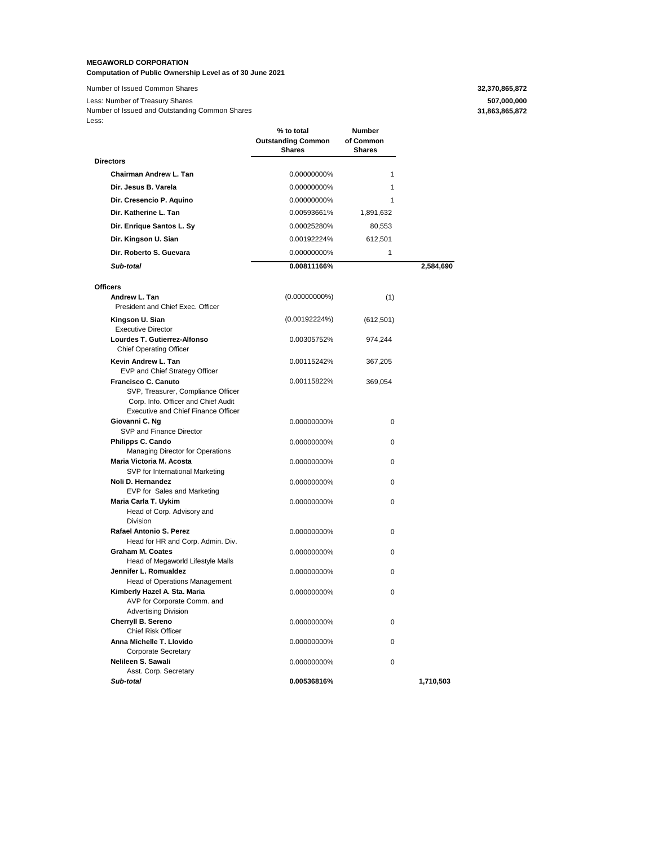#### **MEGAWORLD CORPORATION Computation of Public Ownership Level as of 30 June 2021**

Number of Issued Common Shares **32,370,865,872** Less: Number of Treasury Shares **507,000,000** Less: Number of Issued and Outstanding Common Shares

### **31,863,865,872**

|                                                                                                                                                | % to total<br><b>Outstanding Common</b><br><b>Shares</b> | Number<br>of Common<br><b>Shares</b> |           |
|------------------------------------------------------------------------------------------------------------------------------------------------|----------------------------------------------------------|--------------------------------------|-----------|
| <b>Directors</b>                                                                                                                               |                                                          |                                      |           |
| Chairman Andrew L. Tan                                                                                                                         | 0.00000000%                                              | $\mathbf{1}$                         |           |
| Dir. Jesus B. Varela                                                                                                                           | 0.00000000%                                              | $\mathbf{1}$                         |           |
| Dir. Cresencio P. Aquino                                                                                                                       | 0.00000000%                                              | 1                                    |           |
| Dir. Katherine L. Tan                                                                                                                          | 0.00593661%                                              | 1,891,632                            |           |
| Dir. Enrique Santos L. Sy                                                                                                                      | 0.00025280%                                              | 80,553                               |           |
| Dir. Kingson U. Sian                                                                                                                           | 0.00192224%                                              | 612,501                              |           |
| Dir. Roberto S. Guevara                                                                                                                        | 0.00000000%                                              | 1                                    |           |
| Sub-total                                                                                                                                      | 0.00811166%                                              |                                      | 2,584,690 |
|                                                                                                                                                |                                                          |                                      |           |
| <b>Officers</b>                                                                                                                                |                                                          |                                      |           |
| Andrew L. Tan<br>President and Chief Exec. Officer                                                                                             | $(0.00000000\%)$                                         | (1)                                  |           |
| Kingson U. Sian<br><b>Executive Director</b>                                                                                                   | (0.00192224%)                                            | (612, 501)                           |           |
| Lourdes T. Gutierrez-Alfonso<br><b>Chief Operating Officer</b>                                                                                 | 0.00305752%                                              | 974,244                              |           |
| Kevin Andrew L. Tan<br>EVP and Chief Strategy Officer                                                                                          | 0.00115242%                                              | 367,205                              |           |
| Francisco C. Canuto<br>SVP, Treasurer, Compliance Officer<br>Corp. Info. Officer and Chief Audit<br><b>Executive and Chief Finance Officer</b> | 0.00115822%                                              | 369,054                              |           |
| Giovanni C. Ng<br>SVP and Finance Director                                                                                                     | 0.00000000%                                              | 0                                    |           |
| Philipps C. Cando<br><b>Managing Director for Operations</b>                                                                                   | 0.00000000%                                              | 0                                    |           |
| Maria Victoria M. Acosta<br>SVP for International Marketing                                                                                    | 0.00000000%                                              | 0                                    |           |
| Noli D. Hernandez<br>EVP for Sales and Marketing                                                                                               | 0.00000000%                                              | 0                                    |           |
| Maria Carla T. Uykim<br>Head of Corp. Advisory and<br><b>Division</b>                                                                          | 0.00000000%                                              | 0                                    |           |
| Rafael Antonio S. Perez<br>Head for HR and Corp. Admin. Div.                                                                                   | 0.00000000%                                              | 0                                    |           |
| <b>Graham M. Coates</b><br>Head of Megaworld Lifestyle Malls                                                                                   | 0.00000000%                                              | 0                                    |           |
| Jennifer L. Romualdez<br>Head of Operations Management                                                                                         | 0.00000000%                                              | 0                                    |           |
| Kimberly Hazel A. Sta. Maria<br>AVP for Corporate Comm. and<br><b>Advertising Division</b>                                                     | 0.00000000%                                              | 0                                    |           |
| Cherryll B. Sereno<br>Chief Risk Officer                                                                                                       | 0.00000000%                                              | 0                                    |           |
| Anna Michelle T. Llovido<br>Corporate Secretary                                                                                                | 0.00000000%                                              | 0                                    |           |
| Nelileen S. Sawali<br>Asst. Corp. Secretary                                                                                                    | 0.00000000%                                              | 0                                    |           |
| Sub-total                                                                                                                                      | 0.00536816%                                              |                                      | 1,710,503 |